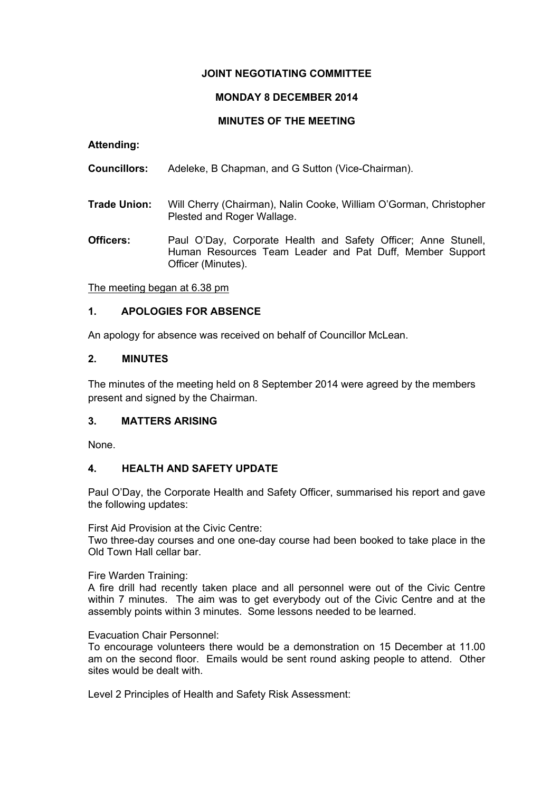# **JOINT NEGOTIATING COMMITTEE**

# **MONDAY 8 DECEMBER 2014**

# **MINUTES OF THE MEETING**

**Attending:**

**Councillors:** Adeleke, B Chapman, and G Sutton (Vice-Chairman).

- **Trade Union:** Will Cherry (Chairman), Nalin Cooke, William O'Gorman, Christopher Plested and Roger Wallage.
- **Officers:** Paul O'Day, Corporate Health and Safety Officer; Anne Stunell, Human Resources Team Leader and Pat Duff, Member Support Officer (Minutes).

The meeting began at 6.38 pm

# **1. APOLOGIES FOR ABSENCE**

An apology for absence was received on behalf of Councillor McLean.

## **2. MINUTES**

The minutes of the meeting held on 8 September 2014 were agreed by the members present and signed by the Chairman.

## **3. MATTERS ARISING**

None.

## **4. HEALTH AND SAFETY UPDATE**

Paul O'Day, the Corporate Health and Safety Officer, summarised his report and gave the following updates:

First Aid Provision at the Civic Centre:

Two three-day courses and one one-day course had been booked to take place in the Old Town Hall cellar bar.

Fire Warden Training:

A fire drill had recently taken place and all personnel were out of the Civic Centre within 7 minutes. The aim was to get everybody out of the Civic Centre and at the assembly points within 3 minutes. Some lessons needed to be learned.

Evacuation Chair Personnel:

To encourage volunteers there would be a demonstration on 15 December at 11.00 am on the second floor. Emails would be sent round asking people to attend. Other sites would be dealt with.

Level 2 Principles of Health and Safety Risk Assessment: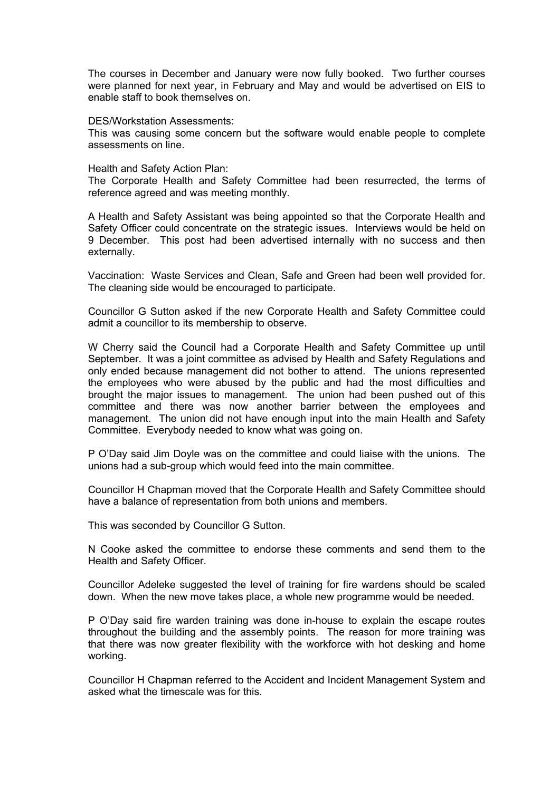The courses in December and January were now fully booked. Two further courses were planned for next year, in February and May and would be advertised on EIS to enable staff to book themselves on.

#### DES/Workstation Assessments:

This was causing some concern but the software would enable people to complete assessments on line.

#### Health and Safety Action Plan:

The Corporate Health and Safety Committee had been resurrected, the terms of reference agreed and was meeting monthly.

A Health and Safety Assistant was being appointed so that the Corporate Health and Safety Officer could concentrate on the strategic issues. Interviews would be held on 9 December. This post had been advertised internally with no success and then externally.

Vaccination: Waste Services and Clean, Safe and Green had been well provided for. The cleaning side would be encouraged to participate.

Councillor G Sutton asked if the new Corporate Health and Safety Committee could admit a councillor to its membership to observe.

W Cherry said the Council had a Corporate Health and Safety Committee up until September. It was a joint committee as advised by Health and Safety Regulations and only ended because management did not bother to attend. The unions represented the employees who were abused by the public and had the most difficulties and brought the major issues to management. The union had been pushed out of this committee and there was now another barrier between the employees and management. The union did not have enough input into the main Health and Safety Committee. Everybody needed to know what was going on.

P O'Day said Jim Doyle was on the committee and could liaise with the unions. The unions had a sub-group which would feed into the main committee.

Councillor H Chapman moved that the Corporate Health and Safety Committee should have a balance of representation from both unions and members.

This was seconded by Councillor G Sutton.

N Cooke asked the committee to endorse these comments and send them to the Health and Safety Officer.

Councillor Adeleke suggested the level of training for fire wardens should be scaled down. When the new move takes place, a whole new programme would be needed.

P O'Day said fire warden training was done in-house to explain the escape routes throughout the building and the assembly points. The reason for more training was that there was now greater flexibility with the workforce with hot desking and home working.

Councillor H Chapman referred to the Accident and Incident Management System and asked what the timescale was for this.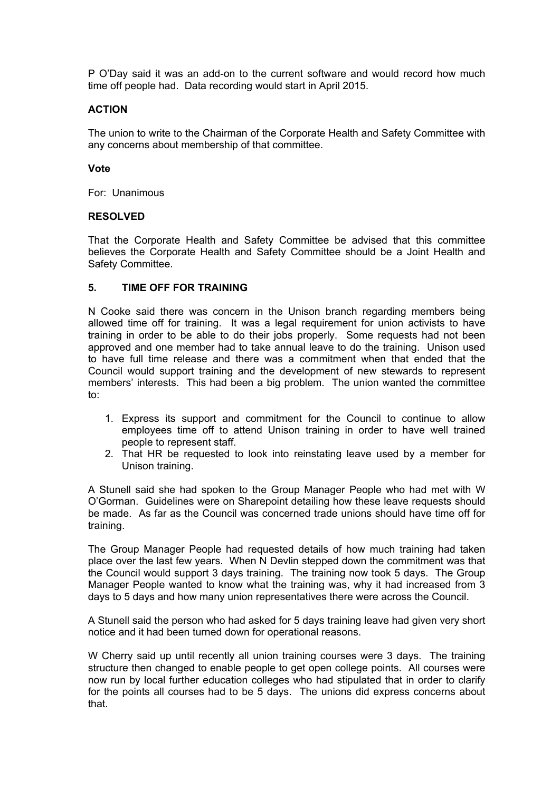P O'Day said it was an add-on to the current software and would record how much time off people had. Data recording would start in April 2015.

## **ACTION**

The union to write to the Chairman of the Corporate Health and Safety Committee with any concerns about membership of that committee.

## **Vote**

For: Unanimous

## **RESOLVED**

That the Corporate Health and Safety Committee be advised that this committee believes the Corporate Health and Safety Committee should be a Joint Health and Safety Committee.

## **5. TIME OFF FOR TRAINING**

N Cooke said there was concern in the Unison branch regarding members being allowed time off for training. It was a legal requirement for union activists to have training in order to be able to do their jobs properly. Some requests had not been approved and one member had to take annual leave to do the training. Unison used to have full time release and there was a commitment when that ended that the Council would support training and the development of new stewards to represent members' interests. This had been a big problem. The union wanted the committee to:

- 1. Express its support and commitment for the Council to continue to allow employees time off to attend Unison training in order to have well trained people to represent staff.
- 2. That HR be requested to look into reinstating leave used by a member for Unison training.

A Stunell said she had spoken to the Group Manager People who had met with W O'Gorman. Guidelines were on Sharepoint detailing how these leave requests should be made. As far as the Council was concerned trade unions should have time off for training.

The Group Manager People had requested details of how much training had taken place over the last few years. When N Devlin stepped down the commitment was that the Council would support 3 days training. The training now took 5 days. The Group Manager People wanted to know what the training was, why it had increased from 3 days to 5 days and how many union representatives there were across the Council.

A Stunell said the person who had asked for 5 days training leave had given very short notice and it had been turned down for operational reasons.

W Cherry said up until recently all union training courses were 3 days. The training structure then changed to enable people to get open college points. All courses were now run by local further education colleges who had stipulated that in order to clarify for the points all courses had to be 5 days. The unions did express concerns about that.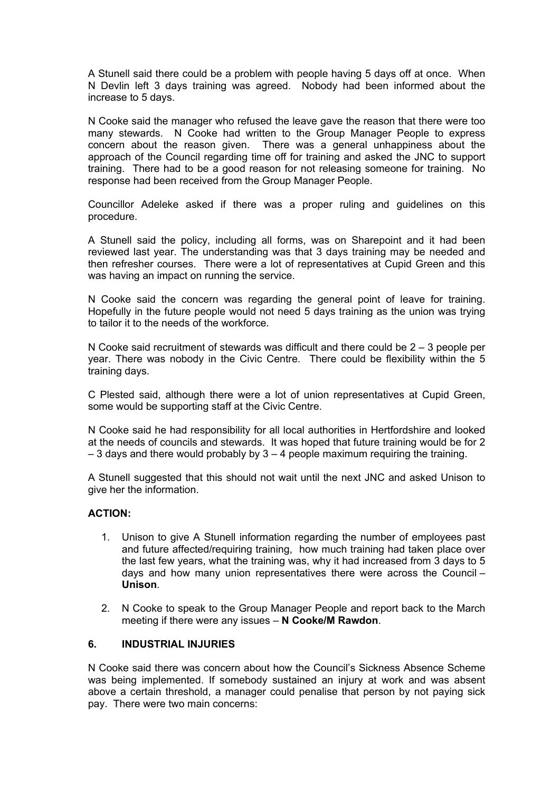A Stunell said there could be a problem with people having 5 days off at once. When N Devlin left 3 days training was agreed. Nobody had been informed about the increase to 5 days.

N Cooke said the manager who refused the leave gave the reason that there were too many stewards. N Cooke had written to the Group Manager People to express concern about the reason given. There was a general unhappiness about the approach of the Council regarding time off for training and asked the JNC to support training. There had to be a good reason for not releasing someone for training. No response had been received from the Group Manager People.

Councillor Adeleke asked if there was a proper ruling and guidelines on this procedure.

A Stunell said the policy, including all forms, was on Sharepoint and it had been reviewed last year. The understanding was that 3 days training may be needed and then refresher courses. There were a lot of representatives at Cupid Green and this was having an impact on running the service.

N Cooke said the concern was regarding the general point of leave for training. Hopefully in the future people would not need 5 days training as the union was trying to tailor it to the needs of the workforce.

N Cooke said recruitment of stewards was difficult and there could be  $2 - 3$  people per year. There was nobody in the Civic Centre. There could be flexibility within the 5 training days.

C Plested said, although there were a lot of union representatives at Cupid Green, some would be supporting staff at the Civic Centre.

N Cooke said he had responsibility for all local authorities in Hertfordshire and looked at the needs of councils and stewards. It was hoped that future training would be for 2  $-$  3 days and there would probably by 3  $-$  4 people maximum requiring the training.

A Stunell suggested that this should not wait until the next JNC and asked Unison to give her the information.

### **ACTION:**

- 1. Unison to give A Stunell information regarding the number of employees past and future affected/requiring training, how much training had taken place over the last few years, what the training was, why it had increased from 3 days to 5 days and how many union representatives there were across the Council – **Unison**.
- 2. N Cooke to speak to the Group Manager People and report back to the March meeting if there were any issues – **N Cooke/M Rawdon**.

## **6. INDUSTRIAL INJURIES**

N Cooke said there was concern about how the Council's Sickness Absence Scheme was being implemented. If somebody sustained an injury at work and was absent above a certain threshold, a manager could penalise that person by not paying sick pay. There were two main concerns: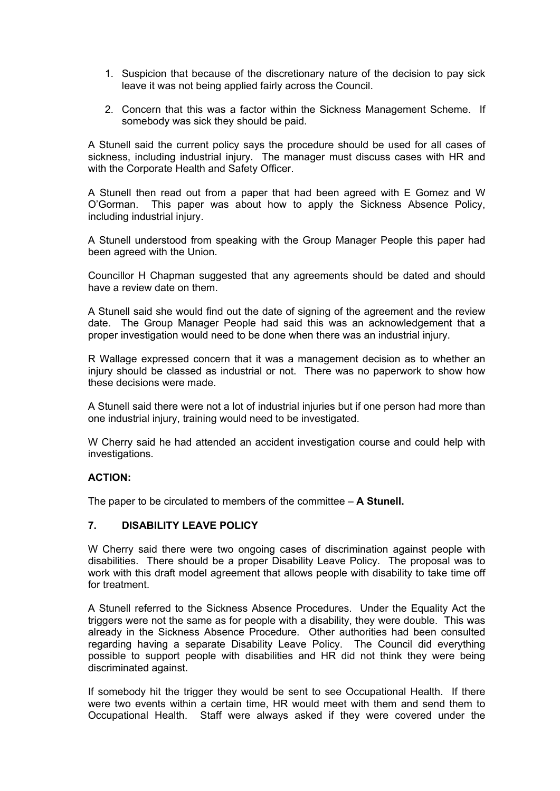- 1. Suspicion that because of the discretionary nature of the decision to pay sick leave it was not being applied fairly across the Council.
- 2. Concern that this was a factor within the Sickness Management Scheme. If somebody was sick they should be paid.

A Stunell said the current policy says the procedure should be used for all cases of sickness, including industrial injury. The manager must discuss cases with HR and with the Corporate Health and Safety Officer.

A Stunell then read out from a paper that had been agreed with E Gomez and W O'Gorman. This paper was about how to apply the Sickness Absence Policy, including industrial injury.

A Stunell understood from speaking with the Group Manager People this paper had been agreed with the Union.

Councillor H Chapman suggested that any agreements should be dated and should have a review date on them.

A Stunell said she would find out the date of signing of the agreement and the review date. The Group Manager People had said this was an acknowledgement that a proper investigation would need to be done when there was an industrial injury.

R Wallage expressed concern that it was a management decision as to whether an injury should be classed as industrial or not. There was no paperwork to show how these decisions were made.

A Stunell said there were not a lot of industrial injuries but if one person had more than one industrial injury, training would need to be investigated.

W Cherry said he had attended an accident investigation course and could help with investigations.

## **ACTION:**

The paper to be circulated to members of the committee – **A Stunell.**

## **7. DISABILITY LEAVE POLICY**

W Cherry said there were two ongoing cases of discrimination against people with disabilities. There should be a proper Disability Leave Policy. The proposal was to work with this draft model agreement that allows people with disability to take time off for treatment.

A Stunell referred to the Sickness Absence Procedures. Under the Equality Act the triggers were not the same as for people with a disability, they were double. This was already in the Sickness Absence Procedure. Other authorities had been consulted regarding having a separate Disability Leave Policy. The Council did everything possible to support people with disabilities and HR did not think they were being discriminated against.

If somebody hit the trigger they would be sent to see Occupational Health. If there were two events within a certain time, HR would meet with them and send them to Occupational Health. Staff were always asked if they were covered under the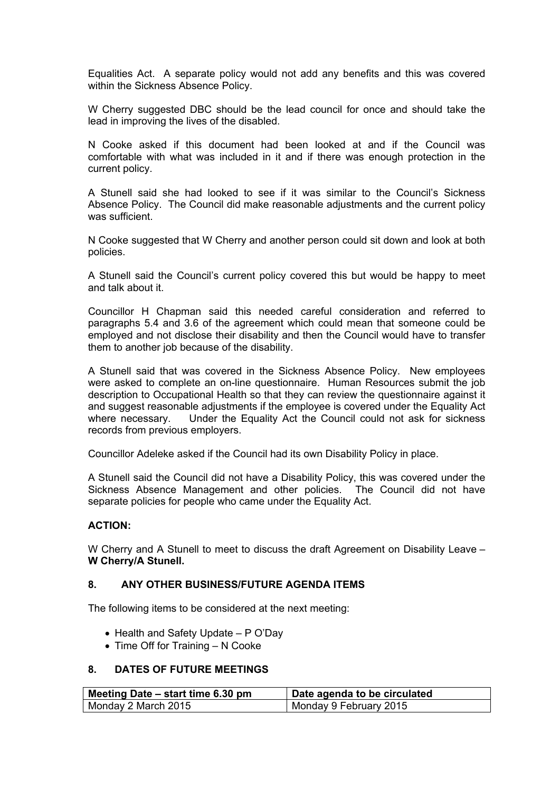Equalities Act. A separate policy would not add any benefits and this was covered within the Sickness Absence Policy.

W Cherry suggested DBC should be the lead council for once and should take the lead in improving the lives of the disabled.

N Cooke asked if this document had been looked at and if the Council was comfortable with what was included in it and if there was enough protection in the current policy.

A Stunell said she had looked to see if it was similar to the Council's Sickness Absence Policy. The Council did make reasonable adjustments and the current policy was sufficient.

N Cooke suggested that W Cherry and another person could sit down and look at both policies.

A Stunell said the Council's current policy covered this but would be happy to meet and talk about it.

Councillor H Chapman said this needed careful consideration and referred to paragraphs 5.4 and 3.6 of the agreement which could mean that someone could be employed and not disclose their disability and then the Council would have to transfer them to another job because of the disability.

A Stunell said that was covered in the Sickness Absence Policy. New employees were asked to complete an on-line questionnaire. Human Resources submit the job description to Occupational Health so that they can review the questionnaire against it and suggest reasonable adjustments if the employee is covered under the Equality Act where necessary. Under the Equality Act the Council could not ask for sickness records from previous employers.

Councillor Adeleke asked if the Council had its own Disability Policy in place.

A Stunell said the Council did not have a Disability Policy, this was covered under the Sickness Absence Management and other policies. The Council did not have separate policies for people who came under the Equality Act.

## **ACTION:**

W Cherry and A Stunell to meet to discuss the draft Agreement on Disability Leave – **W Cherry/A Stunell.**

## **8. ANY OTHER BUSINESS/FUTURE AGENDA ITEMS**

The following items to be considered at the next meeting:

- $\bullet$  Health and Safety Update P O'Day
- $\bullet$  Time Off for Training  $-$  N Cooke

### **8. DATES OF FUTURE MEETINGS**

| Meeting Date – start time 6.30 pm | <b>Date agenda to be circulated</b> |
|-----------------------------------|-------------------------------------|
| Monday 2 March 2015               | Monday 9 February 2015              |